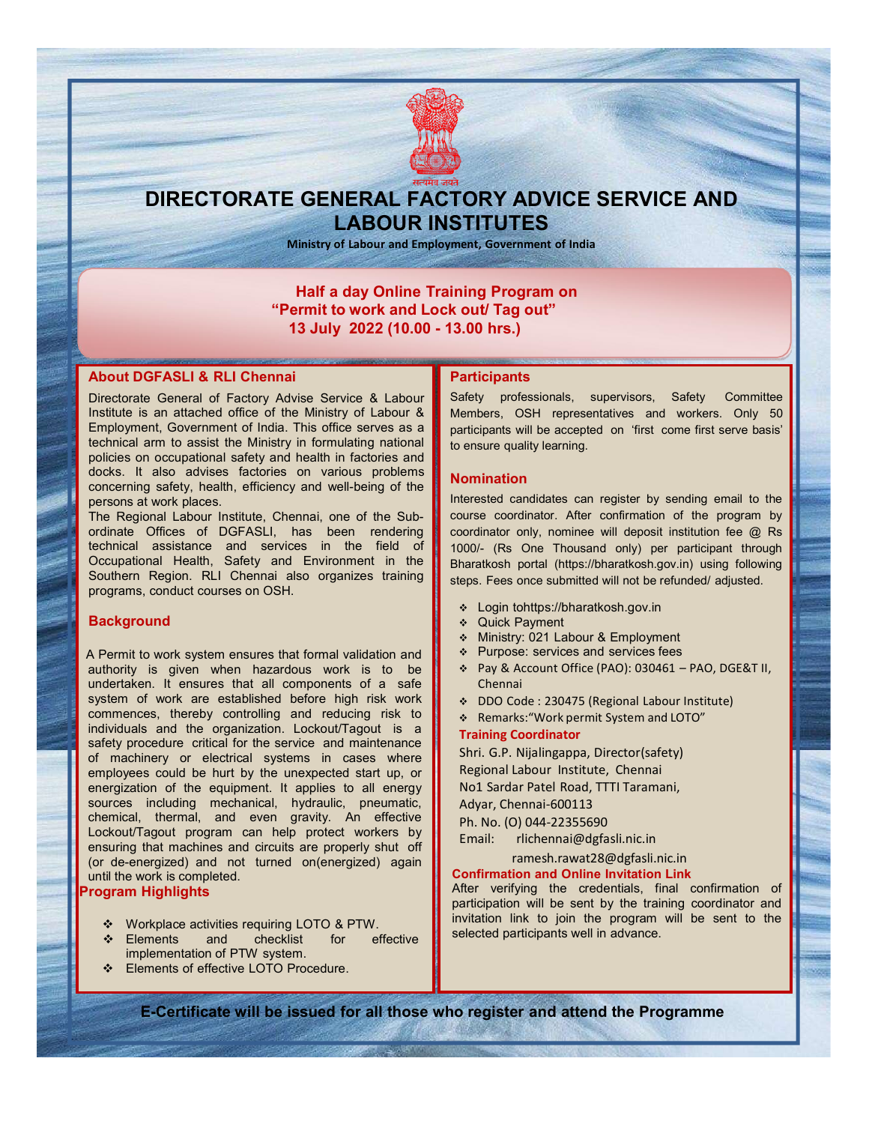

# DIRECTORATE GENERAL FACTORY ADVICE SERVICE AND LABOUR INSTITUTES

Ministry of Labour and Employment, Government of India

## Half a day Online Training Program on "Permit to work and Lock out/ Tag out" 13 July 2022 (10.00 - 13.00 hrs.)

## About DGFASLI & RLI Chennai

Directorate General of Factory Advise Service & Labour Institute is an attached office of the Ministry of Labour & Employment, Government of India. This office serves as a technical arm to assist the Ministry in formulating national policies on occupational safety and health in factories and docks. It also advises factories on various problems concerning safety, health, efficiency and well-being of the persons at work places.

The Regional Labour Institute, Chennai, one of the Subordinate Offices of DGFASLI, has been rendering technical assistance and services in the field of Occupational Health, Safety and Environment in the Southern Region. RLI Chennai also organizes training programs, conduct courses on OSH.

### **Background**

A Permit to work system ensures that formal validation and  $\|\cdot\|^*$ authority is given when hazardous work is to be undertaken. It ensures that all components of a safe system of work are established before high risk work commences, thereby controlling and reducing risk to individuals and the organization. Lockout/Tagout is a safety procedure critical for the service and maintenance of machinery or electrical systems in cases where employees could be hurt by the unexpected start up, or energization of the equipment. It applies to all energy sources including mechanical, hydraulic, pneumatic, chemical, thermal, and even gravity. An effective Lockout/Tagout program can help protect workers by **Email:** ensuring that machines and circuits are properly shut off (or de-energized) and not turned on(energized) again until the work is completed.

#### Program Highlights

- ❖ Workplace activities requiring LOTO & PTW.<br>❖ Elements and checklist for effective
- $\div$  Elements and checklist for implementation of PTW system.
- Elements of effective LOTO Procedure.

#### **Participants**

Safety professionals, supervisors, Safety Committee Members, OSH representatives and workers. Only 50 participants will be accepted on 'first come first serve basis' to ensure quality learning.

#### **Nomination**

Interested candidates can register by sending email to the course coordinator. After confirmation of the program by coordinator only, nominee will deposit institution fee @ Rs 1000/- (Rs One Thousand only) per participant through Bharatkosh portal (https://bharatkosh.gov.in) using following steps. Fees once submitted will not be refunded/ adjusted.

- Login tohttps://bharatkosh.gov.in
- Quick Payment
- Ministry: 021 Labour & Employment
- Purpose: services and services fees
- Pay & Account Office (PAO): 030461 PAO, DGE&T II, Chennai
- DDO Code : 230475 (Regional Labour Institute)
- Remarks:"Work permit System and LOTO"

#### Training Coordinator

Shri. G.P. Nijalingappa, Director(safety) Regional Labour Institute, Chennai No1 Sardar Patel Road, TTTI Taramani, Adyar, Chennai-600113 Ph. No. (O) 044-22355690

rlichennai@dgfasli.nic.in

## ramesh.rawat28@dgfasli.nic.in

## Confirmation and Online Invitation Link

After verifying the credentials, final confirmation of participation will be sent by the training coordinator and invitation link to join the program will be sent to the selected participants well in advance.

E-Certificate will be issued for all those who register and attend the Programme